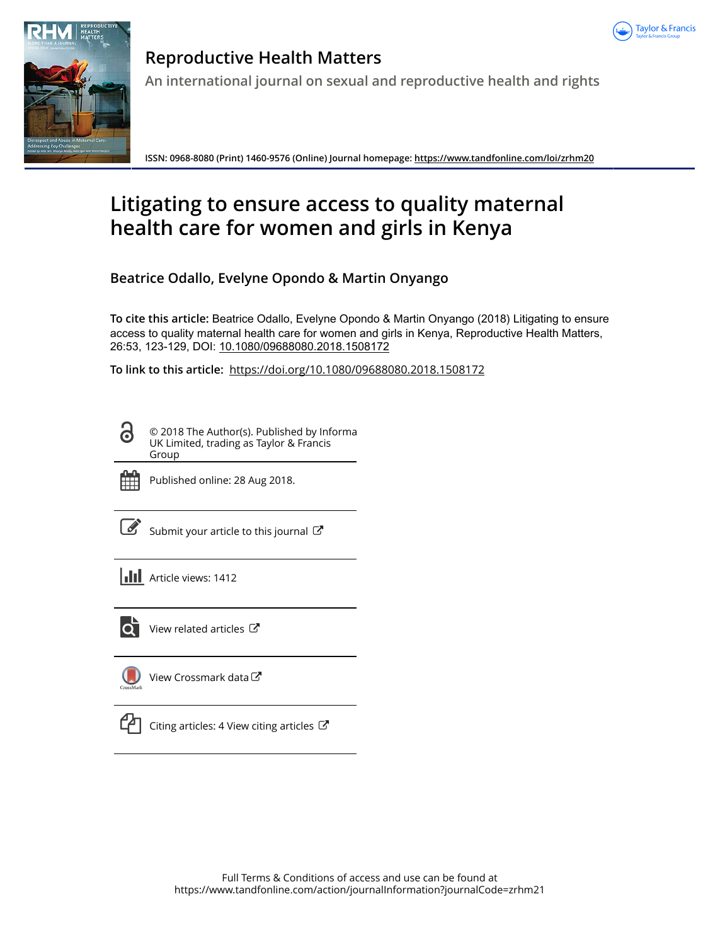



**Reproductive Health Matters An international journal on sexual and reproductive health and rights**

**ISSN: 0968-8080 (Print) 1460-9576 (Online) Journal homepage:<https://www.tandfonline.com/loi/zrhm20>**

# **Litigating to ensure access to quality maternal health care for women and girls in Kenya**

**Beatrice Odallo, Evelyne Opondo & Martin Onyango**

**To cite this article:** Beatrice Odallo, Evelyne Opondo & Martin Onyango (2018) Litigating to ensure access to quality maternal health care for women and girls in Kenya, Reproductive Health Matters, 26:53, 123-129, DOI: [10.1080/09688080.2018.1508172](https://www.tandfonline.com/action/showCitFormats?doi=10.1080/09688080.2018.1508172)

**To link to this article:** <https://doi.org/10.1080/09688080.2018.1508172>

© 2018 The Author(s). Published by Informa UK Limited, trading as Taylor & Francis Group



Published online: 28 Aug 2018.

[Submit your article to this journal](https://www.tandfonline.com/action/authorSubmission?journalCode=zrhm21&show=instructions)  $\mathbb{Z}$ 

**Article views: 1412** 



 $\overline{Q}$  [View related articles](https://www.tandfonline.com/doi/mlt/10.1080/09688080.2018.1508172)  $\overline{C}$ 

[View Crossmark data](http://crossmark.crossref.org/dialog/?doi=10.1080/09688080.2018.1508172&domain=pdf&date_stamp=2018-08-28)<sup>C</sup>



[Citing articles: 4 View citing articles](https://www.tandfonline.com/doi/citedby/10.1080/09688080.2018.1508172#tabModule)  $\mathbb{Z}$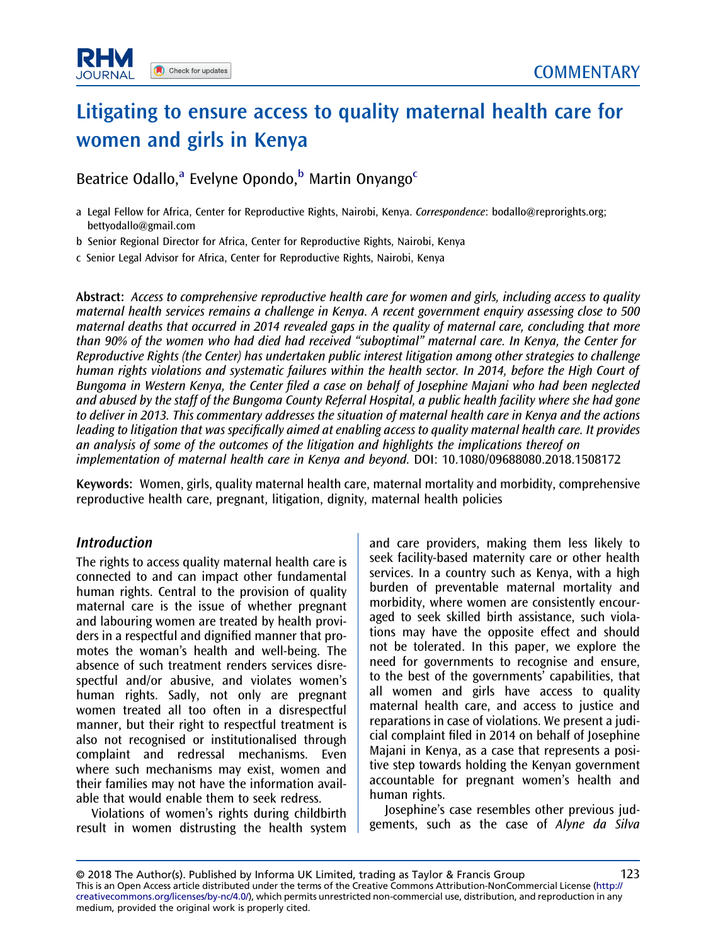## Litigating to ensure access to quality maternal health care for women and girls in Kenya

Beatrice Odallo,<sup>a</sup> Evelyne Opondo,<sup>b</sup> Martin Onyango<sup>c</sup>

- a Legal Fellow for Africa, Center for Reproductive Rights, Nairobi, Kenya. Correspondence: [bodallo@reprorights.org;](mailto:bodallo@reprorights.org) [bettyodallo@gmail.com](mailto:bettyodallo@gmail.com)
- b Senior Regional Director for Africa, Center for Reproductive Rights, Nairobi, Kenya

c Senior Legal Advisor for Africa, Center for Reproductive Rights, Nairobi, Kenya

Abstract: Access to comprehensive reproductive health care for women and girls, including access to quality maternal health services remains a challenge in Kenya. A recent government enquiry assessing close to 500 maternal deaths that occurred in 2014 revealed gaps in the quality of maternal care, concluding that more than 90% of the women who had died had received "suboptimal" maternal care. In Kenya, the Center for Reproductive Rights (the Center) has undertaken public interest litigation among other strategies to challenge human rights violations and systematic failures within the health sector. In 2014, before the High Court of Bungoma in Western Kenya, the Center filed a case on behalf of Josephine Majani who had been neglected and abused by the staff of the Bungoma County Referral Hospital, a public health facility where she had gone to deliver in 2013. This commentary addresses the situation of maternal health care in Kenya and the actions leading to litigation that was specifically aimed at enabling access to quality maternal health care. It provides an analysis of some of the outcomes of the litigation and highlights the implications thereof on implementation of maternal health care in Kenya and beyond. DOI: 10.1080/09688080.2018.1508172

Keywords: Women, girls, quality maternal health care, maternal mortality and morbidity, comprehensive reproductive health care, pregnant, litigation, dignity, maternal health policies

#### Introduction

The rights to access quality maternal health care is connected to and can impact other fundamental human rights. Central to the provision of quality maternal care is the issue of whether pregnant and labouring women are treated by health providers in a respectful and dignified manner that promotes the woman's health and well-being. The absence of such treatment renders services disrespectful and/or abusive, and violates women's human rights. Sadly, not only are pregnant women treated all too often in a disrespectful manner, but their right to respectful treatment is also not recognised or institutionalised through complaint and redressal mechanisms. Even where such mechanisms may exist, women and their families may not have the information available that would enable them to seek redress.

Violations of women's rights during childbirth result in women distrusting the health system and care providers, making them less likely to seek facility-based maternity care or other health services. In a country such as Kenya, with a high burden of preventable maternal mortality and morbidity, where women are consistently encouraged to seek skilled birth assistance, such violations may have the opposite effect and should not be tolerated. In this paper, we explore the need for governments to recognise and ensure, to the best of the governments' capabilities, that all women and girls have access to quality maternal health care, and access to justice and reparations in case of violations. We present a judicial complaint filed in 2014 on behalf of Josephine Majani in Kenya, as a case that represents a positive step towards holding the Kenyan government accountable for pregnant women's health and human rights.

Josephine's case resembles other previous judgements, such as the case of Alyne da Silva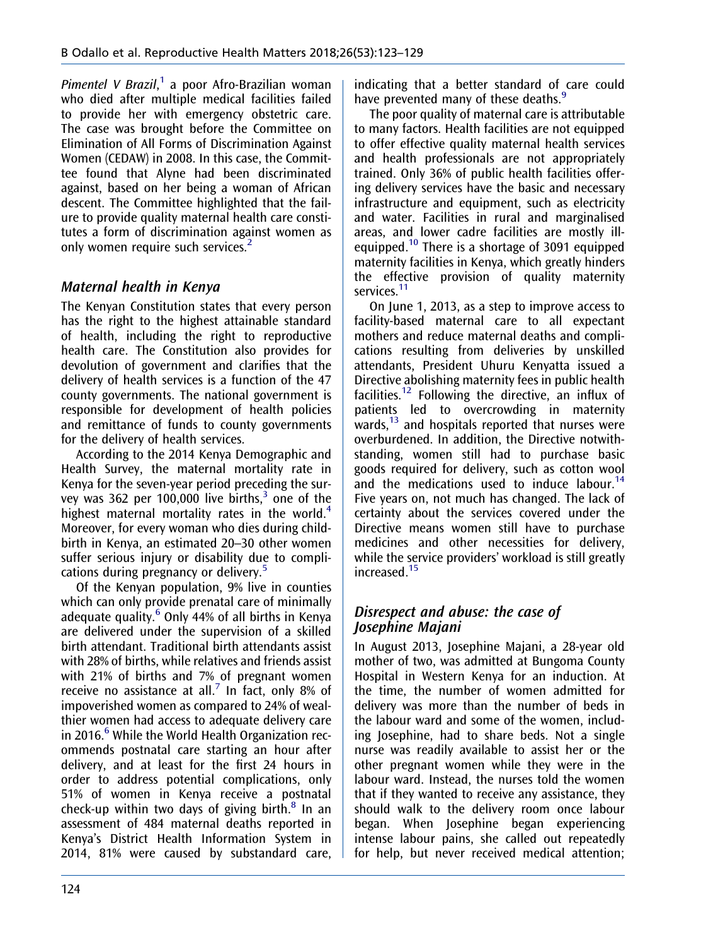<span id="page-2-0"></span>Pimentel V Brazil,<sup>[1](#page-6-0)</sup> a poor Afro-Brazilian woman who died after multiple medical facilities failed to provide her with emergency obstetric care. The case was brought before the Committee on Elimination of All Forms of Discrimination Against Women (CEDAW) in 2008. In this case, the Committee found that Alyne had been discriminated against, based on her being a woman of African descent. The Committee highlighted that the failure to provide quality maternal health care constitutes a form of discrimination against women as only women require such services.<sup>[2](#page-6-0)</sup>

## Maternal health in Kenya

The Kenyan Constitution states that every person has the right to the highest attainable standard of health, including the right to reproductive health care. The Constitution also provides for devolution of government and clarifies that the delivery of health services is a function of the 47 county governments. The national government is responsible for development of health policies and remittance of funds to county governments for the delivery of health services.

According to the 2014 Kenya Demographic and Health Survey, the maternal mortality rate in Kenya for the seven-year period preceding the sur-vey was [3](#page-6-0)62 per 100,000 live births, $3$  one of the highest maternal mortality rates in the world.<sup>[4](#page-6-0)</sup> Moreover, for every woman who dies during childbirth in Kenya, an estimated 20–30 other women suffer serious injury or disability due to complications during pregnancy or delivery.[5](#page-6-0)

Of the Kenyan population, 9% live in counties which can only provide prenatal care of minimally adequate quality.<sup>[6](#page-6-0)</sup> Only 44% of all births in Kenya are delivered under the supervision of a skilled birth attendant. Traditional birth attendants assist with 28% of births, while relatives and friends assist with 21% of births and 7% of pregnant women receive no assistance at all.<sup>[7](#page-6-0)</sup> In fact, only 8% of impoverished women as compared to 24% of wealthier women had access to adequate delivery care in 201[6](#page-6-0). $^6$  While the World Health Organization recommends postnatal care starting an hour after delivery, and at least for the first 24 hours in order to address potential complications, only 51% of women in Kenya receive a postnatal check-up within two days of giving birth. $8 \text{ In an}$  $8 \text{ In an}$ assessment of 484 maternal deaths reported in Kenya's District Health Information System in 2014, 81% were caused by substandard care,

indicating that a better standard of care could have prevented many of these deaths.<sup>[9](#page-6-0)</sup>

The poor quality of maternal care is attributable to many factors. Health facilities are not equipped to offer effective quality maternal health services and health professionals are not appropriately trained. Only 36% of public health facilities offering delivery services have the basic and necessary infrastructure and equipment, such as electricity and water. Facilities in rural and marginalised areas, and lower cadre facilities are mostly ill-equipped.<sup>[10](#page-6-0)</sup> There is a shortage of 3091 equipped maternity facilities in Kenya, which greatly hinders the effective provision of quality maternity services.<sup>[11](#page-6-0)</sup>

On June 1, 2013, as a step to improve access to facility-based maternal care to all expectant mothers and reduce maternal deaths and complications resulting from deliveries by unskilled attendants, President Uhuru Kenyatta issued a Directive abolishing maternity fees in public health facilities.<sup>[12](#page-6-0)</sup> Following the directive, an influx of patients led to overcrowding in maternity wards,<sup>[13](#page-6-0)</sup> and hospitals reported that nurses were overburdened. In addition, the Directive notwithstanding, women still had to purchase basic goods required for delivery, such as cotton wool and the medications used to induce labour.<sup>[14](#page-6-0)</sup> Five years on, not much has changed. The lack of certainty about the services covered under the Directive means women still have to purchase medicines and other necessities for delivery, while the service providers' workload is still greatly increased.[15](#page-6-0)

## Disrespect and abuse: the case of Josephine Majani

In August 2013, Josephine Majani, a 28-year old mother of two, was admitted at Bungoma County Hospital in Western Kenya for an induction. At the time, the number of women admitted for delivery was more than the number of beds in the labour ward and some of the women, including Josephine, had to share beds. Not a single nurse was readily available to assist her or the other pregnant women while they were in the labour ward. Instead, the nurses told the women that if they wanted to receive any assistance, they should walk to the delivery room once labour began. When Josephine began experiencing intense labour pains, she called out repeatedly for help, but never received medical attention;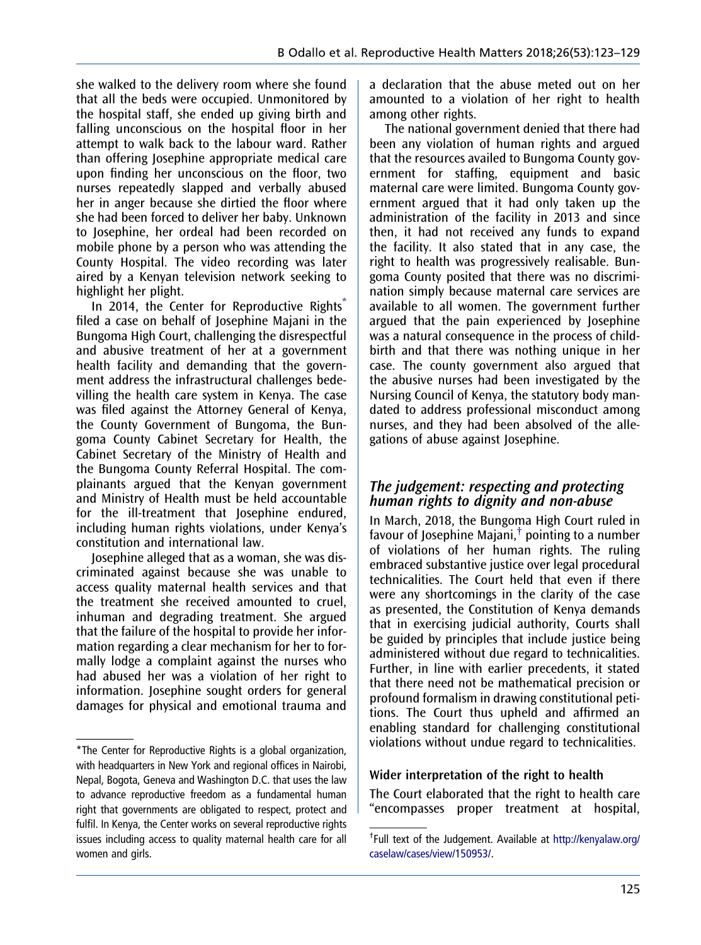she walked to the delivery room where she found that all the beds were occupied. Unmonitored by the hospital staff, she ended up giving birth and falling unconscious on the hospital floor in her attempt to walk back to the labour ward. Rather than offering Josephine appropriate medical care upon finding her unconscious on the floor, two nurses repeatedly slapped and verbally abused her in anger because she dirtied the floor where she had been forced to deliver her baby. Unknown to Josephine, her ordeal had been recorded on mobile phone by a person who was attending the County Hospital. The video recording was later aired by a Kenyan television network seeking to highlight her plight.

In 2014, the Center for Reproductive Rights<sup>\*</sup> filed a case on behalf of Josephine Majani in the Bungoma High Court, challenging the disrespectful and abusive treatment of her at a government health facility and demanding that the government address the infrastructural challenges bedevilling the health care system in Kenya. The case was filed against the Attorney General of Kenya, the County Government of Bungoma, the Bungoma County Cabinet Secretary for Health, the Cabinet Secretary of the Ministry of Health and the Bungoma County Referral Hospital. The complainants argued that the Kenyan government and Ministry of Health must be held accountable for the ill-treatment that Josephine endured, including human rights violations, under Kenya's constitution and international law.

Josephine alleged that as a woman, she was discriminated against because she was unable to access quality maternal health services and that the treatment she received amounted to cruel, inhuman and degrading treatment. She argued that the failure of the hospital to provide her information regarding a clear mechanism for her to formally lodge a complaint against the nurses who had abused her was a violation of her right to information. Josephine sought orders for general damages for physical and emotional trauma and

a declaration that the abuse meted out on her amounted to a violation of her right to health among other rights.

The national government denied that there had been any violation of human rights and argued that the resources availed to Bungoma County government for staffing, equipment and basic maternal care were limited. Bungoma County government argued that it had only taken up the administration of the facility in 2013 and since then, it had not received any funds to expand the facility. It also stated that in any case, the right to health was progressively realisable. Bungoma County posited that there was no discrimination simply because maternal care services are available to all women. The government further argued that the pain experienced by Josephine was a natural consequence in the process of childbirth and that there was nothing unique in her case. The county government also argued that the abusive nurses had been investigated by the Nursing Council of Kenya, the statutory body mandated to address professional misconduct among nurses, and they had been absolved of the allegations of abuse against Josephine.

#### The judgement: respecting and protecting human rights to dignity and non-abuse

In March, 2018, the Bungoma High Court ruled in favour of Josephine Majani, $\dagger$  pointing to a number of violations of her human rights. The ruling embraced substantive justice over legal procedural technicalities. The Court held that even if there were any shortcomings in the clarity of the case as presented, the Constitution of Kenya demands that in exercising judicial authority, Courts shall be guided by principles that include justice being administered without due regard to technicalities. Further, in line with earlier precedents, it stated that there need not be mathematical precision or profound formalism in drawing constitutional petitions. The Court thus upheld and affirmed an enabling standard for challenging constitutional violations without undue regard to technicalities.

#### Wider interpretation of the right to health

The Court elaborated that the right to health care "encompasses proper treatment at hospital,

<sup>\*</sup>The Center for Reproductive Rights is a global organization, with headquarters in New York and regional offices in Nairobi, Nepal, Bogota, Geneva and Washington D.C. that uses the law to advance reproductive freedom as a fundamental human right that governments are obligated to respect, protect and fulfil. In Kenya, the Center works on several reproductive rights issues including access to quality maternal health care for all women and girls.

<sup>†</sup> Full text of the Judgement. Available at [http://kenyalaw.org/](http://kenyalaw.org/caselaw/cases/view/150953/) [caselaw/cases/view/150953/](http://kenyalaw.org/caselaw/cases/view/150953/).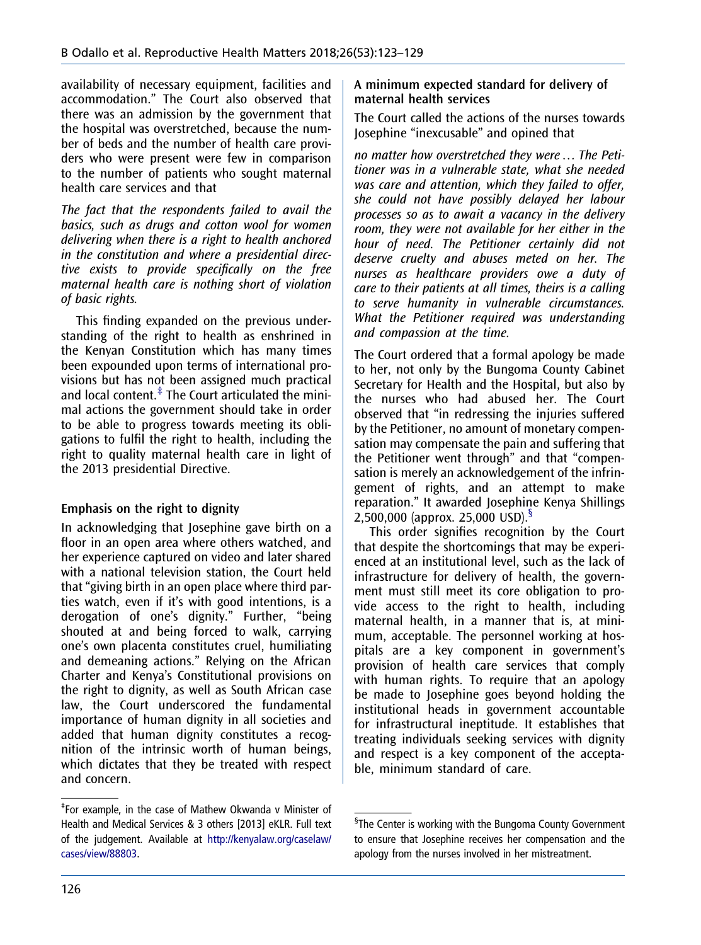availability of necessary equipment, facilities and accommodation." The Court also observed that there was an admission by the government that the hospital was overstretched, because the number of beds and the number of health care providers who were present were few in comparison to the number of patients who sought maternal health care services and that

The fact that the respondents failed to avail the basics, such as drugs and cotton wool for women delivering when there is a right to health anchored in the constitution and where a presidential directive exists to provide specifically on the free maternal health care is nothing short of violation of basic rights.

This finding expanded on the previous understanding of the right to health as enshrined in the Kenyan Constitution which has many times been expounded upon terms of international provisions but has not been assigned much practical and local content. $\ddot{\text{F}}$  The Court articulated the minimal actions the government should take in order to be able to progress towards meeting its obligations to fulfil the right to health, including the right to quality maternal health care in light of the 2013 presidential Directive.

#### Emphasis on the right to dignity

In acknowledging that Josephine gave birth on a floor in an open area where others watched, and her experience captured on video and later shared with a national television station, the Court held that "giving birth in an open place where third parties watch, even if it's with good intentions, is a derogation of one's dignity." Further, "being shouted at and being forced to walk, carrying one's own placenta constitutes cruel, humiliating and demeaning actions." Relying on the African Charter and Kenya's Constitutional provisions on the right to dignity, as well as South African case law, the Court underscored the fundamental importance of human dignity in all societies and added that human dignity constitutes a recognition of the intrinsic worth of human beings, which dictates that they be treated with respect and concern.

#### A minimum expected standard for delivery of maternal health services

The Court called the actions of the nurses towards Josephine "inexcusable" and opined that

no matter how overstretched they were … The Petitioner was in a vulnerable state, what she needed was care and attention, which they failed to offer, she could not have possibly delayed her labour processes so as to await a vacancy in the delivery room, they were not available for her either in the hour of need. The Petitioner certainly did not deserve cruelty and abuses meted on her. The nurses as healthcare providers owe a duty of care to their patients at all times, theirs is a calling to serve humanity in vulnerable circumstances. What the Petitioner required was understanding and compassion at the time.

The Court ordered that a formal apology be made to her, not only by the Bungoma County Cabinet Secretary for Health and the Hospital, but also by the nurses who had abused her. The Court observed that "in redressing the injuries suffered by the Petitioner, no amount of monetary compensation may compensate the pain and suffering that the Petitioner went through" and that "compensation is merely an acknowledgement of the infringement of rights, and an attempt to make reparation." It awarded Josephine Kenya Shillings 2,500,000 (approx. 25,000 USD).§

This order signifies recognition by the Court that despite the shortcomings that may be experienced at an institutional level, such as the lack of infrastructure for delivery of health, the government must still meet its core obligation to provide access to the right to health, including maternal health, in a manner that is, at minimum, acceptable. The personnel working at hospitals are a key component in government's provision of health care services that comply with human rights. To require that an apology be made to Josephine goes beyond holding the institutional heads in government accountable for infrastructural ineptitude. It establishes that treating individuals seeking services with dignity and respect is a key component of the acceptable, minimum standard of care.

<sup>‡</sup> For example, in the case of Mathew Okwanda v Minister of Health and Medical Services & 3 others [2013] eKLR. Full text of the judgement. Available at [http://kenyalaw.org/caselaw/](http://kenyalaw.org/caselaw/cases/view/88803) [cases/view/88803.](http://kenyalaw.org/caselaw/cases/view/88803)

<sup>§</sup> The Center is working with the Bungoma County Government to ensure that Josephine receives her compensation and the apology from the nurses involved in her mistreatment.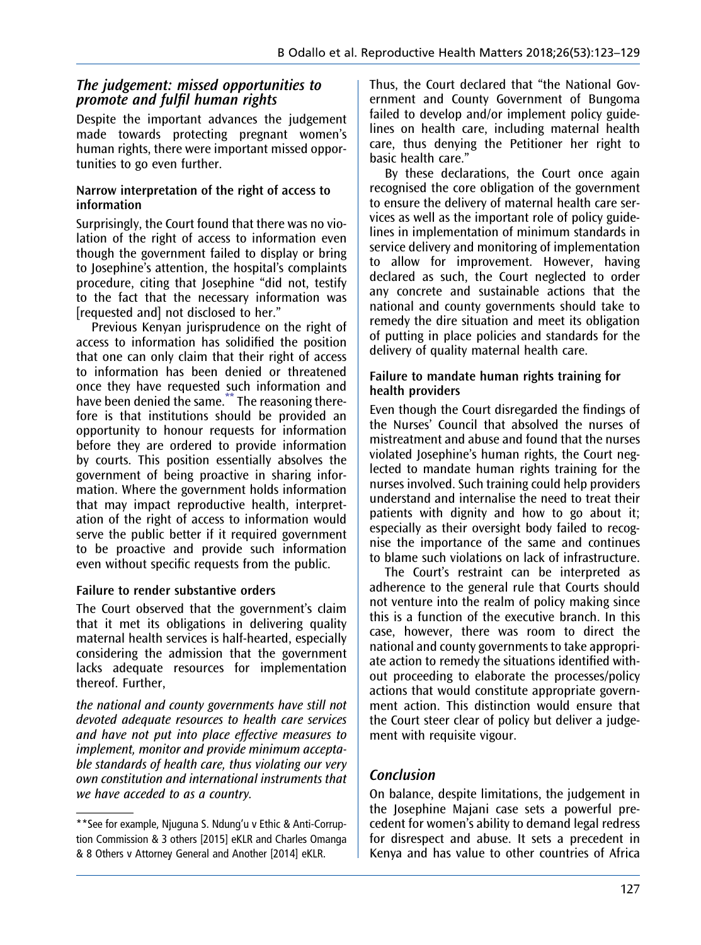#### The judgement: missed opportunities to promote and fulfil human rights

Despite the important advances the judgement made towards protecting pregnant women's human rights, there were important missed opportunities to go even further.

#### Narrow interpretation of the right of access to information

Surprisingly, the Court found that there was no violation of the right of access to information even though the government failed to display or bring to Josephine's attention, the hospital's complaints procedure, citing that Josephine "did not, testify to the fact that the necessary information was [requested and] not disclosed to her."

Previous Kenyan jurisprudence on the right of access to information has solidified the position that one can only claim that their right of access to information has been denied or threatened once they have requested such information and have been denied the same.<sup>\*\*</sup> The reasoning therefore is that institutions should be provided an opportunity to honour requests for information before they are ordered to provide information by courts. This position essentially absolves the government of being proactive in sharing information. Where the government holds information that may impact reproductive health, interpretation of the right of access to information would serve the public better if it required government to be proactive and provide such information even without specific requests from the public.

#### Failure to render substantive orders

The Court observed that the government's claim that it met its obligations in delivering quality maternal health services is half-hearted, especially considering the admission that the government lacks adequate resources for implementation thereof. Further,

the national and county governments have still not devoted adequate resources to health care services and have not put into place effective measures to implement, monitor and provide minimum acceptable standards of health care, thus violating our very own constitution and international instruments that we have acceded to as a country.

Thus, the Court declared that "the National Government and County Government of Bungoma failed to develop and/or implement policy guidelines on health care, including maternal health care, thus denying the Petitioner her right to basic health care."

By these declarations, the Court once again recognised the core obligation of the government to ensure the delivery of maternal health care services as well as the important role of policy guidelines in implementation of minimum standards in service delivery and monitoring of implementation to allow for improvement. However, having declared as such, the Court neglected to order any concrete and sustainable actions that the national and county governments should take to remedy the dire situation and meet its obligation of putting in place policies and standards for the delivery of quality maternal health care.

#### Failure to mandate human rights training for health providers

Even though the Court disregarded the findings of the Nurses' Council that absolved the nurses of mistreatment and abuse and found that the nurses violated Josephine's human rights, the Court neglected to mandate human rights training for the nurses involved. Such training could help providers understand and internalise the need to treat their patients with dignity and how to go about it; especially as their oversight body failed to recognise the importance of the same and continues to blame such violations on lack of infrastructure.

The Court's restraint can be interpreted as adherence to the general rule that Courts should not venture into the realm of policy making since this is a function of the executive branch. In this case, however, there was room to direct the national and county governments to take appropriate action to remedy the situations identified without proceeding to elaborate the processes/policy actions that would constitute appropriate government action. This distinction would ensure that the Court steer clear of policy but deliver a judgement with requisite vigour.

## Conclusion

On balance, despite limitations, the judgement in the Josephine Majani case sets a powerful precedent for women's ability to demand legal redress for disrespect and abuse. It sets a precedent in Kenya and has value to other countries of Africa

<sup>\*\*</sup>See for example, Njuguna S. Ndung'u v Ethic & Anti-Corruption Commission & 3 others [2015] eKLR and Charles Omanga & 8 Others v Attorney General and Another [2014] eKLR.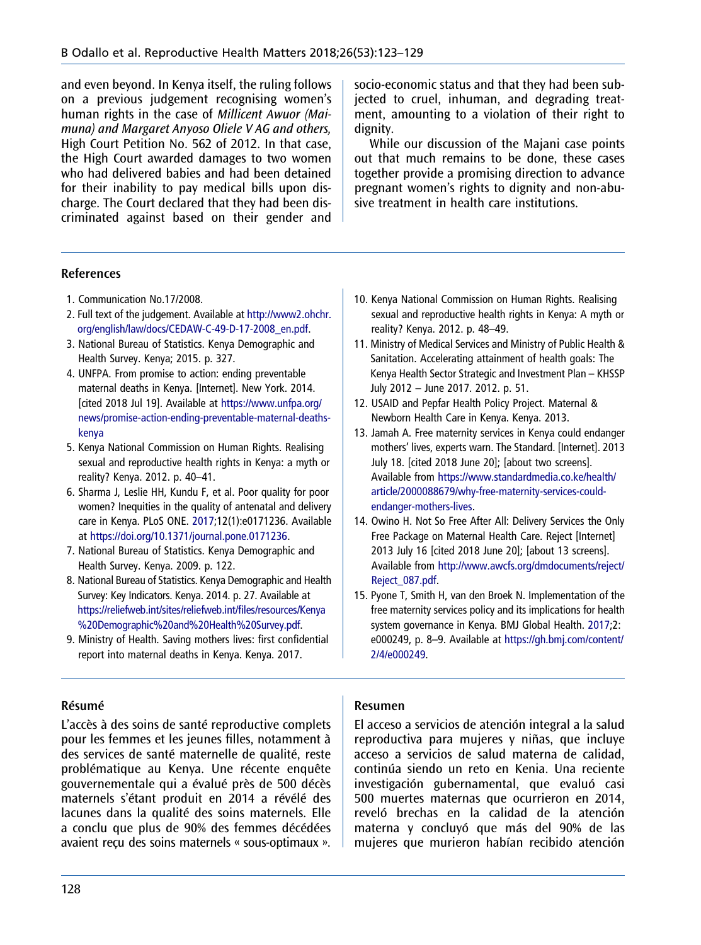<span id="page-6-0"></span>and even beyond. In Kenya itself, the ruling follows on a previous judgement recognising women's human rights in the case of Millicent Awuor (Maimuna) and Margaret Anyoso Oliele V AG and others, High Court Petition No. 562 of 2012. In that case, the High Court awarded damages to two women who had delivered babies and had been detained for their inability to pay medical bills upon discharge. The Court declared that they had been discriminated against based on their gender and socio-economic status and that they had been subjected to cruel, inhuman, and degrading treatment, amounting to a violation of their right to dignity.

While our discussion of the Majani case points out that much remains to be done, these cases together provide a promising direction to advance pregnant women's rights to dignity and non-abusive treatment in health care institutions.

#### References

- 1. Communication No.17/2008.
- 2. Full text of the judgement. Available at [http://www2.ohchr.](http://www2.ohchr.org/english/law/docs/CEDAW-C-49-D-17-2008_en.pdf) [org/english/law/docs/CEDAW-C-49-D-17-2008\\_en.pdf](http://www2.ohchr.org/english/law/docs/CEDAW-C-49-D-17-2008_en.pdf).
- 3. National Bureau of Statistics. Kenya Demographic and Health Survey. Kenya; 2015. p. 327.
- 4. UNFPA. From promise to action: ending preventable maternal deaths in Kenya. [Internet]. New York. 2014. [cited 2018 Jul 19]. Available at [https://www.unfpa.org/](https://www.unfpa.org/news/promise-action-ending-preventable-maternal-deaths-kenya) [news/promise-action-ending-preventable-maternal-deaths](https://www.unfpa.org/news/promise-action-ending-preventable-maternal-deaths-kenya)[kenya](https://www.unfpa.org/news/promise-action-ending-preventable-maternal-deaths-kenya)
- 5. Kenya National Commission on Human Rights. Realising sexual and reproductive health rights in Kenya: a myth or reality? Kenya. 2012. p. 40–41.
- 6. Sharma J, Leslie HH, Kundu F, et al. Poor quality for poor women? Inequities in the quality of antenatal and delivery care in Kenya. PLoS ONE. [2017](#page-2-0);12(1):e0171236. Available at [https://doi.org/10.1371/journal.pone.0171236.](https://doi.org/10.1371/journal.pone.0171236)
- 7. National Bureau of Statistics. Kenya Demographic and Health Survey. Kenya. 2009. p. 122.
- 8. National Bureau of Statistics. Kenya Demographic and Health Survey: Key Indicators. Kenya. 2014. p. 27. Available at [https://reliefweb.int/sites/reliefweb.int/](https://reliefweb.int/sites/reliefweb.int/files/resources/Kenya%20Demographic%20and%20Health%20Survey.pdf)files/resources/Kenya [%20Demographic%20and%20Health%20Survey.pdf](https://reliefweb.int/sites/reliefweb.int/files/resources/Kenya%20Demographic%20and%20Health%20Survey.pdf).
- 9. Ministry of Health. Saving mothers lives: first confidential report into maternal deaths in Kenya. Kenya. 2017.

## Résumé

L'accès à des soins de santé reproductive complets pour les femmes et les jeunes filles, notamment à des services de santé maternelle de qualité, reste problématique au Kenya. Une récente enquête gouvernementale qui a évalué près de 500 décès maternels s'étant produit en 2014 a révélé des lacunes dans la qualité des soins maternels. Elle a conclu que plus de 90% des femmes décédées avaient reçu des soins maternels « sous-optimaux ».

- 10. Kenya National Commission on Human Rights. Realising sexual and reproductive health rights in Kenya: A myth or reality? Kenya. 2012. p. 48–49.
- 11. Ministry of Medical Services and Ministry of Public Health & Sanitation. Accelerating attainment of health goals: The Kenya Health Sector Strategic and Investment Plan – KHSSP July 2012 – June 2017. 2012. p. 51.
- 12. USAID and Pepfar Health Policy Project. Maternal & Newborn Health Care in Kenya. Kenya. 2013.
- 13. Jamah A. Free maternity services in Kenya could endanger mothers' lives, experts warn. The Standard. [Internet]. 2013 July 18. [cited 2018 June 20]; [about two screens]. Available from [https://www.standardmedia.co.ke/health/](https://www.standardmedia.co.ke/health/article/2000088679/why-free-maternity-services-could-endanger-mothers-lives) [article/2000088679/why-free-maternity-services-could](https://www.standardmedia.co.ke/health/article/2000088679/why-free-maternity-services-could-endanger-mothers-lives)[endanger-mothers-lives](https://www.standardmedia.co.ke/health/article/2000088679/why-free-maternity-services-could-endanger-mothers-lives).
- 14. Owino H. Not So Free After All: Delivery Services the Only Free Package on Maternal Health Care. Reject [Internet] 2013 July 16 [cited 2018 June 20]; [about 13 screens]. Available from [http://www.awcfs.org/dmdocuments/reject/](http://www.awcfs.org/dmdocuments/reject/Reject_087.pdf) [Reject\\_087.pdf.](http://www.awcfs.org/dmdocuments/reject/Reject_087.pdf)
- 15. Pyone T, Smith H, van den Broek N. Implementation of the free maternity services policy and its implications for health system governance in Kenya. BMJ Global Health. [2017;](#page-2-0)2: e000249, p. 8–9. Available at [https://gh.bmj.com/content/](https://gh.bmj.com/content/2/4/e000249) [2/4/e000249.](https://gh.bmj.com/content/2/4/e000249)

#### Resumen

El acceso a servicios de atención integral a la salud reproductiva para mujeres y niñas, que incluye acceso a servicios de salud materna de calidad, continúa siendo un reto en Kenia. Una reciente investigación gubernamental, que evaluó casi 500 muertes maternas que ocurrieron en 2014, reveló brechas en la calidad de la atención materna y concluyó que más del 90% de las mujeres que murieron habían recibido atención